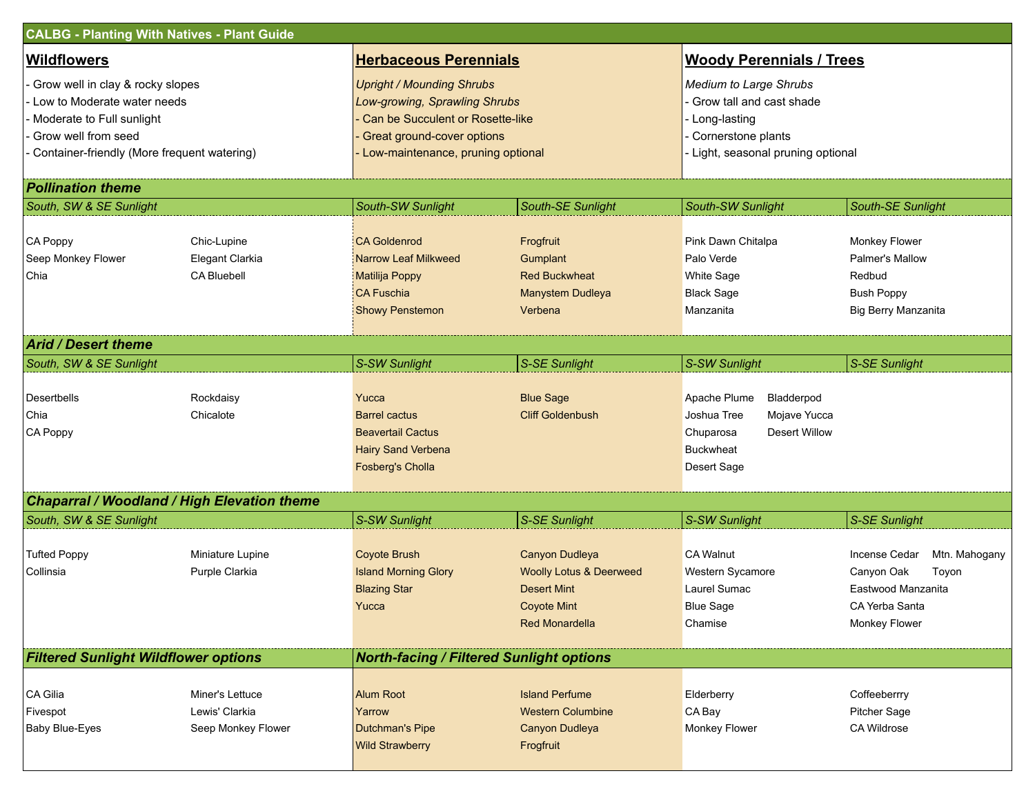| <b>CALBG - Planting With Natives - Plant Guide</b>                                                                                                                 |                                                         |                                                                                                                                                                          |                                                                                                                           |                                                                                                                                   |                                                                                                                |  |  |  |  |
|--------------------------------------------------------------------------------------------------------------------------------------------------------------------|---------------------------------------------------------|--------------------------------------------------------------------------------------------------------------------------------------------------------------------------|---------------------------------------------------------------------------------------------------------------------------|-----------------------------------------------------------------------------------------------------------------------------------|----------------------------------------------------------------------------------------------------------------|--|--|--|--|
| <b>Wildflowers</b>                                                                                                                                                 |                                                         | <b>Herbaceous Perennials</b>                                                                                                                                             |                                                                                                                           | <b>Woody Perennials / Trees</b>                                                                                                   |                                                                                                                |  |  |  |  |
| Grow well in clay & rocky slopes<br>Low to Moderate water needs<br>Moderate to Full sunlight<br>Grow well from seed<br>Container-friendly (More frequent watering) |                                                         | <b>Upright / Mounding Shrubs</b><br>Low-growing, Sprawling Shrubs<br>Can be Succulent or Rosette-like<br>Great ground-cover options<br>Low-maintenance, pruning optional |                                                                                                                           | Medium to Large Shrubs<br>Grow tall and cast shade<br>Long-lasting<br>Cornerstone plants<br>- Light, seasonal pruning optional    |                                                                                                                |  |  |  |  |
| <b>Pollination theme</b>                                                                                                                                           |                                                         |                                                                                                                                                                          |                                                                                                                           |                                                                                                                                   |                                                                                                                |  |  |  |  |
| South, SW & SE Sunlight                                                                                                                                            |                                                         | South-SW Sunlight                                                                                                                                                        | South-SE Sunlight                                                                                                         | South-SW Sunlight                                                                                                                 | South-SE Sunlight                                                                                              |  |  |  |  |
| CA Poppy<br>Seep Monkey Flower<br>Chia                                                                                                                             | Chic-Lupine<br>Elegant Clarkia<br>CA Bluebell           | <b>CA Goldenrod</b><br>Narrow Leaf Milkweed<br>Matilija Poppy<br><b>CA Fuschia</b><br><b>Showy Penstemon</b>                                                             | Frogfruit<br>Gumplant<br><b>Red Buckwheat</b><br>Manystem Dudleya<br>Verbena                                              | Pink Dawn Chitalpa<br>Palo Verde<br><b>White Sage</b><br><b>Black Sage</b><br>Manzanita                                           | Monkey Flower<br>Palmer's Mallow<br>Redbud<br><b>Bush Poppy</b><br>Big Berry Manzanita                         |  |  |  |  |
| <b>Arid / Desert theme</b>                                                                                                                                         |                                                         |                                                                                                                                                                          |                                                                                                                           |                                                                                                                                   |                                                                                                                |  |  |  |  |
| South, SW & SE Sunlight                                                                                                                                            |                                                         | S-SW Sunlight                                                                                                                                                            | S-SE Sunlight                                                                                                             | S-SW Sunlight                                                                                                                     | S-SE Sunlight                                                                                                  |  |  |  |  |
| <b>Desertbells</b><br>Chia<br>CA Poppy                                                                                                                             | Rockdaisy<br>Chicalote                                  | Yucca<br><b>Barrel cactus</b><br><b>Beavertail Cactus</b><br><b>Hairy Sand Verbena</b><br><b>Fosberg's Cholla</b>                                                        | <b>Blue Sage</b><br><b>Cliff Goldenbush</b>                                                                               | Apache Plume<br>Bladderpod<br>Mojave Yucca<br>Joshua Tree<br><b>Desert Willow</b><br>Chuparosa<br><b>Buckwheat</b><br>Desert Sage |                                                                                                                |  |  |  |  |
| <b>Chaparral / Woodland / High Elevation theme</b>                                                                                                                 |                                                         |                                                                                                                                                                          |                                                                                                                           |                                                                                                                                   |                                                                                                                |  |  |  |  |
| South, SW & SE Sunlight                                                                                                                                            |                                                         | <b>S-SW Sunlight</b>                                                                                                                                                     | S-SE Sunlight                                                                                                             | S-SW Sunlight                                                                                                                     | S-SE Sunlight                                                                                                  |  |  |  |  |
| <b>Tufted Poppy</b><br>Collinsia                                                                                                                                   | Miniature Lupine<br>Purple Clarkia                      | <b>Coyote Brush</b><br><b>Island Morning Glory</b><br><b>Blazing Star</b><br>Yucca                                                                                       | Canyon Dudleya<br><b>Woolly Lotus &amp; Deerweed</b><br><b>Desert Mint</b><br><b>Coyote Mint</b><br><b>Red Monardella</b> | <b>CA Walnut</b><br>Western Sycamore<br>Laurel Sumac<br><b>Blue Sage</b><br>Chamise                                               | Incense Cedar<br>Mtn. Mahogany<br>Toyon<br>Canyon Oak<br>Eastwood Manzanita<br>CA Yerba Santa<br>Monkey Flower |  |  |  |  |
| <b>Filtered Sunlight Wildflower options</b>                                                                                                                        |                                                         | <b>North-facing / Filtered Sunlight options</b>                                                                                                                          |                                                                                                                           |                                                                                                                                   |                                                                                                                |  |  |  |  |
| CA Gilia<br>Fivespot<br><b>Baby Blue-Eyes</b>                                                                                                                      | Miner's Lettuce<br>Lewis' Clarkia<br>Seep Monkey Flower | <b>Alum Root</b><br>Yarrow<br><b>Dutchman's Pipe</b><br><b>Wild Strawberry</b>                                                                                           | <b>Island Perfume</b><br><b>Western Columbine</b><br>Canyon Dudleya<br>Frogfruit                                          | Elderberry<br>CA Bay<br>Monkey Flower                                                                                             | Coffeeberrry<br><b>Pitcher Sage</b><br>CA Wildrose                                                             |  |  |  |  |